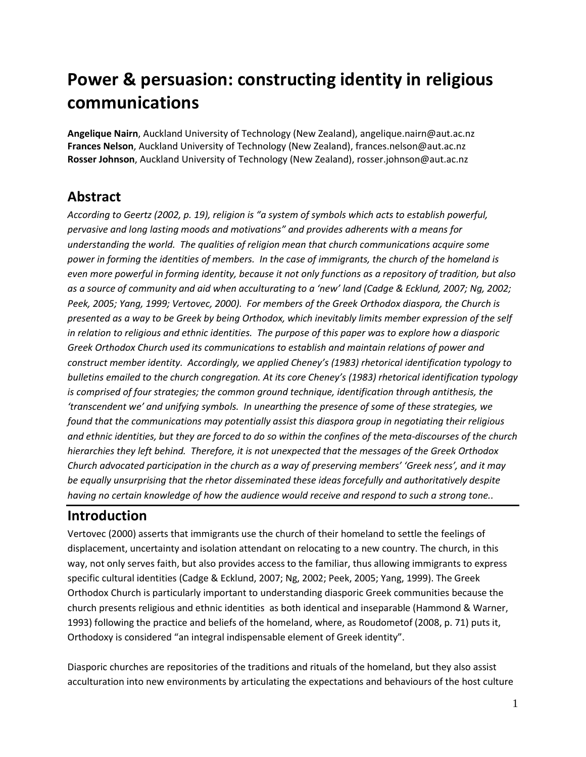# **Power & persuasion: constructing identity in religious communications**

**Angelique Nairn**, Auckland University of Technology (New Zealand), angelique.nairn@aut.ac.nz **Frances Nelson**, Auckland University of Technology (New Zealand), frances.nelson@aut.ac.nz **Rosser Johnson**, Auckland University of Technology (New Zealand), rosser.johnson@aut.ac.nz

# **Abstract**

*According to Geertz (2002, p. 19), religion is "a system of symbols which acts to establish powerful, pervasive and long lasting moods and motivations" and provides adherents with a means for understanding the world. The qualities of religion mean that church communications acquire some power in forming the identities of members. In the case of immigrants, the church of the homeland is even more powerful in forming identity, because it not only functions as a repository of tradition, but also as a source of community and aid when acculturating to a 'new' land (Cadge & Ecklund, 2007; Ng, 2002; Peek, 2005; Yang, 1999; Vertovec, 2000). For members of the Greek Orthodox diaspora, the Church is presented as a way to be Greek by being Orthodox, which inevitably limits member expression of the self in relation to religious and ethnic identities. The purpose of this paper was to explore how a diasporic Greek Orthodox Church used its communications to establish and maintain relations of power and construct member identity. Accordingly, we applied Cheney's (1983) rhetorical identification typology to bulletins emailed to the church congregation. At its core Cheney's (1983) rhetorical identification typology is comprised of four strategies; the common ground technique, identification through antithesis, the 'transcendent we' and unifying symbols. In unearthing the presence of some of these strategies, we found that the communications may potentially assist this diaspora group in negotiating their religious and ethnic identities, but they are forced to do so within the confines of the meta-discourses of the church hierarchies they left behind. Therefore, it is not unexpected that the messages of the Greek Orthodox Church advocated participation in the church as a way of preserving members' 'Greek ness', and it may be equally unsurprising that the rhetor disseminated these ideas forcefully and authoritatively despite having no certain knowledge of how the audience would receive and respond to such a strong tone..*

#### **Introduction**

Vertovec (2000) asserts that immigrants use the church of their homeland to settle the feelings of displacement, uncertainty and isolation attendant on relocating to a new country. The church, in this way, not only serves faith, but also provides access to the familiar, thus allowing immigrants to express specific cultural identities (Cadge & Ecklund, 2007; Ng, 2002; Peek, 2005; Yang, 1999). The Greek Orthodox Church is particularly important to understanding diasporic Greek communities because the church presents religious and ethnic identities as both identical and inseparable (Hammond & Warner, 1993) following the practice and beliefs of the homeland, where, as Roudometof (2008, p. 71) puts it, Orthodoxy is considered "an integral indispensable element of Greek identity".

Diasporic churches are repositories of the traditions and rituals of the homeland, but they also assist acculturation into new environments by articulating the expectations and behaviours of the host culture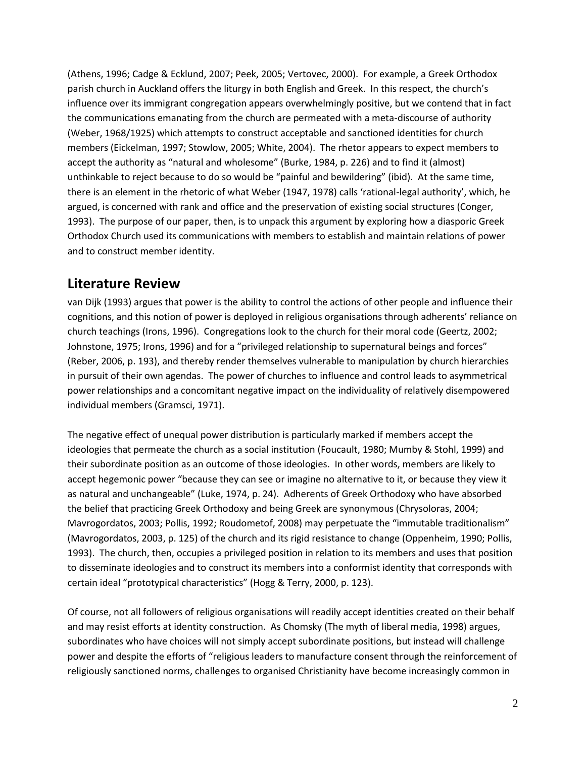(Athens, 1996; Cadge & Ecklund, 2007; Peek, 2005; Vertovec, 2000). For example, a Greek Orthodox parish church in Auckland offers the liturgy in both English and Greek. In this respect, the church's influence over its immigrant congregation appears overwhelmingly positive, but we contend that in fact the communications emanating from the church are permeated with a meta-discourse of authority (Weber, 1968/1925) which attempts to construct acceptable and sanctioned identities for church members (Eickelman, 1997; Stowlow, 2005; White, 2004). The rhetor appears to expect members to accept the authority as "natural and wholesome" (Burke, 1984, p. 226) and to find it (almost) unthinkable to reject because to do so would be "painful and bewildering" (ibid). At the same time, there is an element in the rhetoric of what Weber (1947, 1978) calls 'rational-legal authority', which, he argued, is concerned with rank and office and the preservation of existing social structures (Conger, 1993). The purpose of our paper, then, is to unpack this argument by exploring how a diasporic Greek Orthodox Church used its communications with members to establish and maintain relations of power and to construct member identity.

#### **Literature Review**

van Dijk (1993) argues that power is the ability to control the actions of other people and influence their cognitions, and this notion of power is deployed in religious organisations through adherents' reliance on church teachings (Irons, 1996). Congregations look to the church for their moral code (Geertz, 2002; Johnstone, 1975; Irons, 1996) and for a "privileged relationship to supernatural beings and forces" (Reber, 2006, p. 193), and thereby render themselves vulnerable to manipulation by church hierarchies in pursuit of their own agendas. The power of churches to influence and control leads to asymmetrical power relationships and a concomitant negative impact on the individuality of relatively disempowered individual members (Gramsci, 1971).

The negative effect of unequal power distribution is particularly marked if members accept the ideologies that permeate the church as a social institution (Foucault, 1980; Mumby & Stohl, 1999) and their subordinate position as an outcome of those ideologies. In other words, members are likely to accept hegemonic power "because they can see or imagine no alternative to it, or because they view it as natural and unchangeable" (Luke, 1974, p. 24). Adherents of Greek Orthodoxy who have absorbed the belief that practicing Greek Orthodoxy and being Greek are synonymous (Chrysoloras, 2004; Mavrogordatos, 2003; Pollis, 1992; Roudometof, 2008) may perpetuate the "immutable traditionalism" (Mavrogordatos, 2003, p. 125) of the church and its rigid resistance to change (Oppenheim, 1990; Pollis, 1993). The church, then, occupies a privileged position in relation to its members and uses that position to disseminate ideologies and to construct its members into a conformist identity that corresponds with certain ideal "prototypical characteristics" (Hogg & Terry, 2000, p. 123).

Of course, not all followers of religious organisations will readily accept identities created on their behalf and may resist efforts at identity construction. As Chomsky (The myth of liberal media, 1998) argues, subordinates who have choices will not simply accept subordinate positions, but instead will challenge power and despite the efforts of "religious leaders to manufacture consent through the reinforcement of religiously sanctioned norms, challenges to organised Christianity have become increasingly common in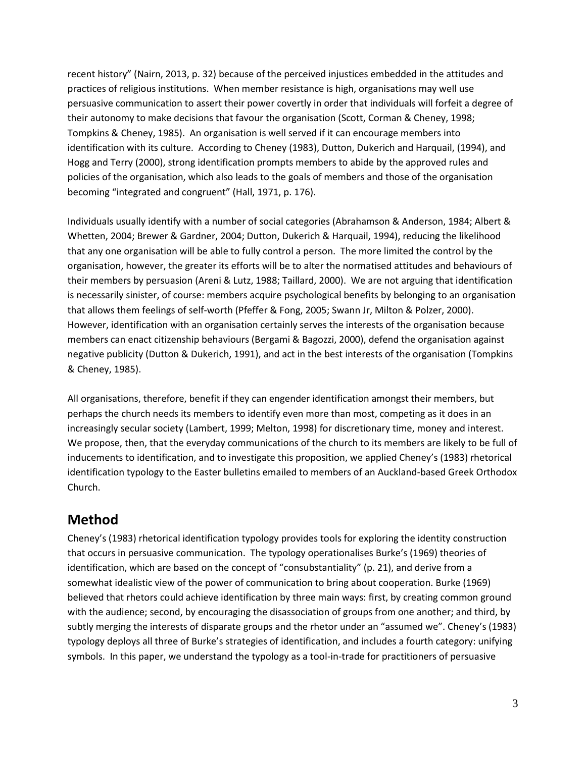recent history" (Nairn, 2013, p. 32) because of the perceived injustices embedded in the attitudes and practices of religious institutions. When member resistance is high, organisations may well use persuasive communication to assert their power covertly in order that individuals will forfeit a degree of their autonomy to make decisions that favour the organisation (Scott, Corman & Cheney, 1998; Tompkins & Cheney, 1985). An organisation is well served if it can encourage members into identification with its culture. According to Cheney (1983), Dutton, Dukerich and Harquail, (1994), and Hogg and Terry (2000), strong identification prompts members to abide by the approved rules and policies of the organisation, which also leads to the goals of members and those of the organisation becoming "integrated and congruent" (Hall, 1971, p. 176).

Individuals usually identify with a number of social categories (Abrahamson & Anderson, 1984; Albert & Whetten, 2004; Brewer & Gardner, 2004; Dutton, Dukerich & Harquail, 1994), reducing the likelihood that any one organisation will be able to fully control a person. The more limited the control by the organisation, however, the greater its efforts will be to alter the normatised attitudes and behaviours of their members by persuasion (Areni & Lutz, 1988; Taillard, 2000). We are not arguing that identification is necessarily sinister, of course: members acquire psychological benefits by belonging to an organisation that allows them feelings of self-worth (Pfeffer & Fong, 2005; Swann Jr, Milton & Polzer, 2000). However, identification with an organisation certainly serves the interests of the organisation because members can enact citizenship behaviours (Bergami & Bagozzi, 2000), defend the organisation against negative publicity (Dutton & Dukerich, 1991), and act in the best interests of the organisation (Tompkins & Cheney, 1985).

All organisations, therefore, benefit if they can engender identification amongst their members, but perhaps the church needs its members to identify even more than most, competing as it does in an increasingly secular society (Lambert, 1999; Melton, 1998) for discretionary time, money and interest. We propose, then, that the everyday communications of the church to its members are likely to be full of inducements to identification, and to investigate this proposition, we applied Cheney's (1983) rhetorical identification typology to the Easter bulletins emailed to members of an Auckland-based Greek Orthodox Church.

## **Method**

Cheney's (1983) rhetorical identification typology provides tools for exploring the identity construction that occurs in persuasive communication. The typology operationalises Burke's (1969) theories of identification, which are based on the concept of "consubstantiality" (p. 21), and derive from a somewhat idealistic view of the power of communication to bring about cooperation. Burke (1969) believed that rhetors could achieve identification by three main ways: first, by creating common ground with the audience; second, by encouraging the disassociation of groups from one another; and third, by subtly merging the interests of disparate groups and the rhetor under an "assumed we". Cheney's (1983) typology deploys all three of Burke's strategies of identification, and includes a fourth category: unifying symbols. In this paper, we understand the typology as a tool-in-trade for practitioners of persuasive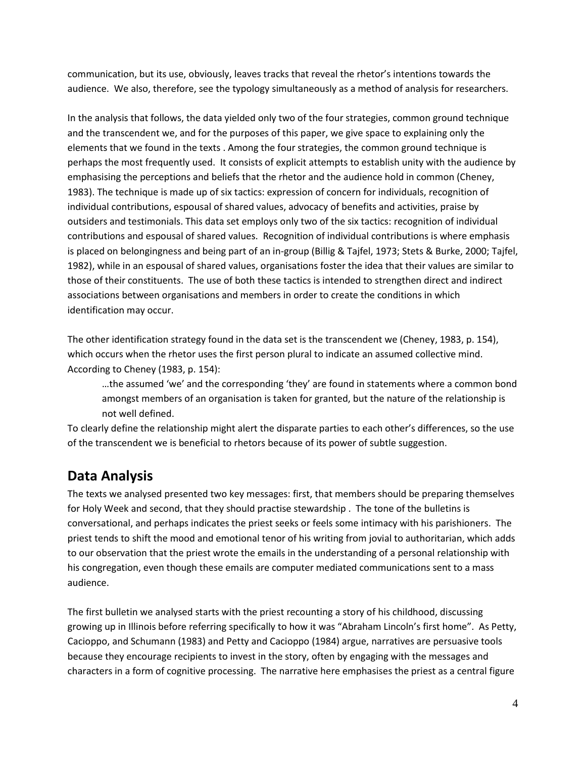communication, but its use, obviously, leaves tracks that reveal the rhetor's intentions towards the audience. We also, therefore, see the typology simultaneously as a method of analysis for researchers.

In the analysis that follows, the data yielded only two of the four strategies, common ground technique and the transcendent we, and for the purposes of this paper, we give space to explaining only the elements that we found in the texts . Among the four strategies, the common ground technique is perhaps the most frequently used. It consists of explicit attempts to establish unity with the audience by emphasising the perceptions and beliefs that the rhetor and the audience hold in common (Cheney, 1983). The technique is made up of six tactics: expression of concern for individuals, recognition of individual contributions, espousal of shared values, advocacy of benefits and activities, praise by outsiders and testimonials. This data set employs only two of the six tactics: recognition of individual contributions and espousal of shared values. Recognition of individual contributions is where emphasis is placed on belongingness and being part of an in-group (Billig & Tajfel, 1973; Stets & Burke, 2000; Tajfel, 1982), while in an espousal of shared values, organisations foster the idea that their values are similar to those of their constituents. The use of both these tactics is intended to strengthen direct and indirect associations between organisations and members in order to create the conditions in which identification may occur.

The other identification strategy found in the data set is the transcendent we (Cheney, 1983, p. 154), which occurs when the rhetor uses the first person plural to indicate an assumed collective mind. According to Cheney (1983, p. 154):

…the assumed 'we' and the corresponding 'they' are found in statements where a common bond amongst members of an organisation is taken for granted, but the nature of the relationship is not well defined.

To clearly define the relationship might alert the disparate parties to each other's differences, so the use of the transcendent we is beneficial to rhetors because of its power of subtle suggestion.

### **Data Analysis**

The texts we analysed presented two key messages: first, that members should be preparing themselves for Holy Week and second, that they should practise stewardship . The tone of the bulletins is conversational, and perhaps indicates the priest seeks or feels some intimacy with his parishioners. The priest tends to shift the mood and emotional tenor of his writing from jovial to authoritarian, which adds to our observation that the priest wrote the emails in the understanding of a personal relationship with his congregation, even though these emails are computer mediated communications sent to a mass audience.

The first bulletin we analysed starts with the priest recounting a story of his childhood, discussing growing up in Illinois before referring specifically to how it was "Abraham Lincoln's first home". As Petty, Cacioppo, and Schumann (1983) and Petty and Cacioppo (1984) argue, narratives are persuasive tools because they encourage recipients to invest in the story, often by engaging with the messages and characters in a form of cognitive processing. The narrative here emphasises the priest as a central figure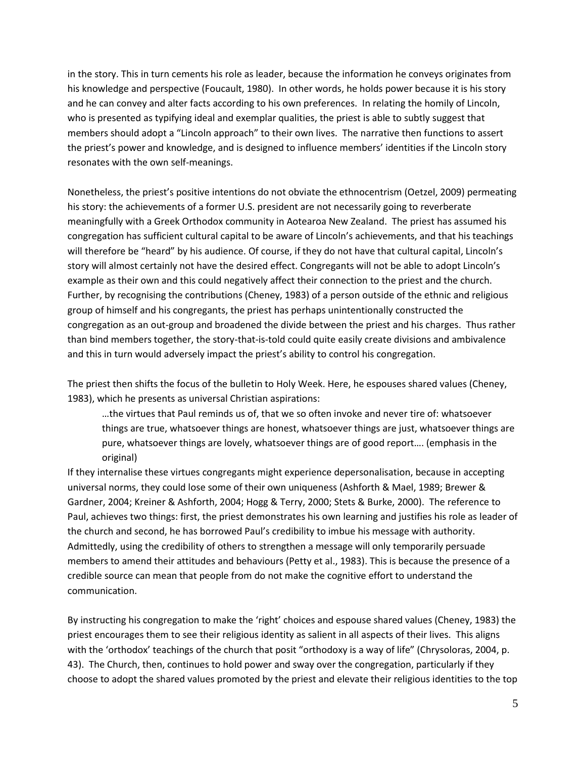in the story. This in turn cements his role as leader, because the information he conveys originates from his knowledge and perspective (Foucault, 1980). In other words, he holds power because it is his story and he can convey and alter facts according to his own preferences. In relating the homily of Lincoln, who is presented as typifying ideal and exemplar qualities, the priest is able to subtly suggest that members should adopt a "Lincoln approach" to their own lives. The narrative then functions to assert the priest's power and knowledge, and is designed to influence members' identities if the Lincoln story resonates with the own self-meanings.

Nonetheless, the priest's positive intentions do not obviate the ethnocentrism (Oetzel, 2009) permeating his story: the achievements of a former U.S. president are not necessarily going to reverberate meaningfully with a Greek Orthodox community in Aotearoa New Zealand. The priest has assumed his congregation has sufficient cultural capital to be aware of Lincoln's achievements, and that his teachings will therefore be "heard" by his audience. Of course, if they do not have that cultural capital, Lincoln's story will almost certainly not have the desired effect. Congregants will not be able to adopt Lincoln's example as their own and this could negatively affect their connection to the priest and the church. Further, by recognising the contributions (Cheney, 1983) of a person outside of the ethnic and religious group of himself and his congregants, the priest has perhaps unintentionally constructed the congregation as an out-group and broadened the divide between the priest and his charges. Thus rather than bind members together, the story-that-is-told could quite easily create divisions and ambivalence and this in turn would adversely impact the priest's ability to control his congregation.

The priest then shifts the focus of the bulletin to Holy Week. Here, he espouses shared values (Cheney, 1983), which he presents as universal Christian aspirations:

…the virtues that Paul reminds us of, that we so often invoke and never tire of: whatsoever things are true, whatsoever things are honest, whatsoever things are just, whatsoever things are pure, whatsoever things are lovely, whatsoever things are of good report…. (emphasis in the original)

If they internalise these virtues congregants might experience depersonalisation, because in accepting universal norms, they could lose some of their own uniqueness (Ashforth & Mael, 1989; Brewer & Gardner, 2004; Kreiner & Ashforth, 2004; Hogg & Terry, 2000; Stets & Burke, 2000). The reference to Paul, achieves two things: first, the priest demonstrates his own learning and justifies his role as leader of the church and second, he has borrowed Paul's credibility to imbue his message with authority. Admittedly, using the credibility of others to strengthen a message will only temporarily persuade members to amend their attitudes and behaviours (Petty et al., 1983). This is because the presence of a credible source can mean that people from do not make the cognitive effort to understand the communication.

By instructing his congregation to make the 'right' choices and espouse shared values (Cheney, 1983) the priest encourages them to see their religious identity as salient in all aspects of their lives. This aligns with the 'orthodox' teachings of the church that posit "orthodoxy is a way of life" (Chrysoloras, 2004, p. 43). The Church, then, continues to hold power and sway over the congregation, particularly if they choose to adopt the shared values promoted by the priest and elevate their religious identities to the top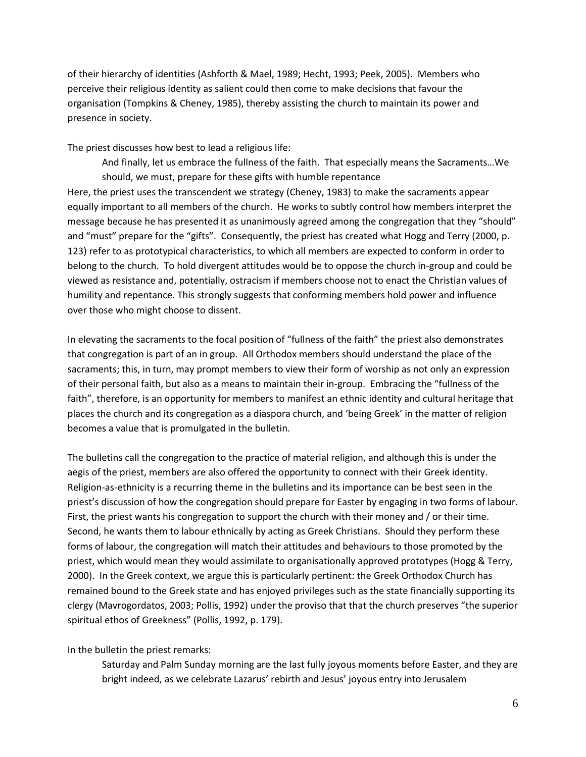of their hierarchy of identities (Ashforth & Mael, 1989; Hecht, 1993; Peek, 2005). Members who perceive their religious identity as salient could then come to make decisions that favour the organisation (Tompkins & Cheney, 1985), thereby assisting the church to maintain its power and presence in society.

The priest discusses how best to lead a religious life:

And finally, let us embrace the fullness of the faith. That especially means the Sacraments…We should, we must, prepare for these gifts with humble repentance

Here, the priest uses the transcendent we strategy (Cheney, 1983) to make the sacraments appear equally important to all members of the church. He works to subtly control how members interpret the message because he has presented it as unanimously agreed among the congregation that they "should" and "must" prepare for the "gifts". Consequently, the priest has created what Hogg and Terry (2000, p. 123) refer to as prototypical characteristics, to which all members are expected to conform in order to belong to the church. To hold divergent attitudes would be to oppose the church in-group and could be viewed as resistance and, potentially, ostracism if members choose not to enact the Christian values of humility and repentance. This strongly suggests that conforming members hold power and influence over those who might choose to dissent.

In elevating the sacraments to the focal position of "fullness of the faith" the priest also demonstrates that congregation is part of an in group. All Orthodox members should understand the place of the sacraments; this, in turn, may prompt members to view their form of worship as not only an expression of their personal faith, but also as a means to maintain their in-group. Embracing the "fullness of the faith", therefore, is an opportunity for members to manifest an ethnic identity and cultural heritage that places the church and its congregation as a diaspora church, and 'being Greek' in the matter of religion becomes a value that is promulgated in the bulletin.

The bulletins call the congregation to the practice of material religion, and although this is under the aegis of the priest, members are also offered the opportunity to connect with their Greek identity. Religion-as-ethnicity is a recurring theme in the bulletins and its importance can be best seen in the priest's discussion of how the congregation should prepare for Easter by engaging in two forms of labour. First, the priest wants his congregation to support the church with their money and / or their time. Second, he wants them to labour ethnically by acting as Greek Christians. Should they perform these forms of labour, the congregation will match their attitudes and behaviours to those promoted by the priest, which would mean they would assimilate to organisationally approved prototypes (Hogg & Terry, 2000). In the Greek context, we argue this is particularly pertinent: the Greek Orthodox Church has remained bound to the Greek state and has enjoyed privileges such as the state financially supporting its clergy (Mavrogordatos, 2003; Pollis, 1992) under the proviso that that the church preserves "the superior spiritual ethos of Greekness" (Pollis, 1992, p. 179).

In the bulletin the priest remarks:

Saturday and Palm Sunday morning are the last fully joyous moments before Easter, and they are bright indeed, as we celebrate Lazarus' rebirth and Jesus' joyous entry into Jerusalem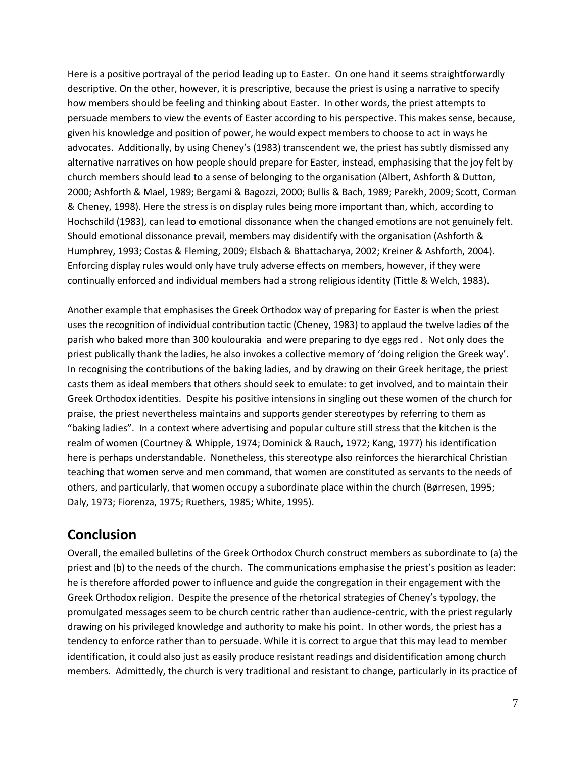Here is a positive portrayal of the period leading up to Easter. On one hand it seems straightforwardly descriptive. On the other, however, it is prescriptive, because the priest is using a narrative to specify how members should be feeling and thinking about Easter. In other words, the priest attempts to persuade members to view the events of Easter according to his perspective. This makes sense, because, given his knowledge and position of power, he would expect members to choose to act in ways he advocates. Additionally, by using Cheney's (1983) transcendent we, the priest has subtly dismissed any alternative narratives on how people should prepare for Easter, instead, emphasising that the joy felt by church members should lead to a sense of belonging to the organisation (Albert, Ashforth & Dutton, 2000; Ashforth & Mael, 1989; Bergami & Bagozzi, 2000; Bullis & Bach, 1989; Parekh, 2009; Scott, Corman & Cheney, 1998). Here the stress is on display rules being more important than, which, according to Hochschild (1983), can lead to emotional dissonance when the changed emotions are not genuinely felt. Should emotional dissonance prevail, members may disidentify with the organisation (Ashforth & Humphrey, 1993; Costas & Fleming, 2009; Elsbach & Bhattacharya, 2002; Kreiner & Ashforth, 2004). Enforcing display rules would only have truly adverse effects on members, however, if they were continually enforced and individual members had a strong religious identity (Tittle & Welch, 1983).

Another example that emphasises the Greek Orthodox way of preparing for Easter is when the priest uses the recognition of individual contribution tactic (Cheney, 1983) to applaud the twelve ladies of the parish who baked more than 300 koulourakia and were preparing to dye eggs red . Not only does the priest publically thank the ladies, he also invokes a collective memory of 'doing religion the Greek way'. In recognising the contributions of the baking ladies, and by drawing on their Greek heritage, the priest casts them as ideal members that others should seek to emulate: to get involved, and to maintain their Greek Orthodox identities. Despite his positive intensions in singling out these women of the church for praise, the priest nevertheless maintains and supports gender stereotypes by referring to them as "baking ladies". In a context where advertising and popular culture still stress that the kitchen is the realm of women (Courtney & Whipple, 1974; Dominick & Rauch, 1972; Kang, 1977) his identification here is perhaps understandable. Nonetheless, this stereotype also reinforces the hierarchical Christian teaching that women serve and men command, that women are constituted as servants to the needs of others, and particularly, that women occupy a subordinate place within the church (Børresen, 1995; Daly, 1973; Fiorenza, 1975; Ruethers, 1985; White, 1995).

### **Conclusion**

Overall, the emailed bulletins of the Greek Orthodox Church construct members as subordinate to (a) the priest and (b) to the needs of the church. The communications emphasise the priest's position as leader: he is therefore afforded power to influence and guide the congregation in their engagement with the Greek Orthodox religion. Despite the presence of the rhetorical strategies of Cheney's typology, the promulgated messages seem to be church centric rather than audience-centric, with the priest regularly drawing on his privileged knowledge and authority to make his point. In other words, the priest has a tendency to enforce rather than to persuade. While it is correct to argue that this may lead to member identification, it could also just as easily produce resistant readings and disidentification among church members. Admittedly, the church is very traditional and resistant to change, particularly in its practice of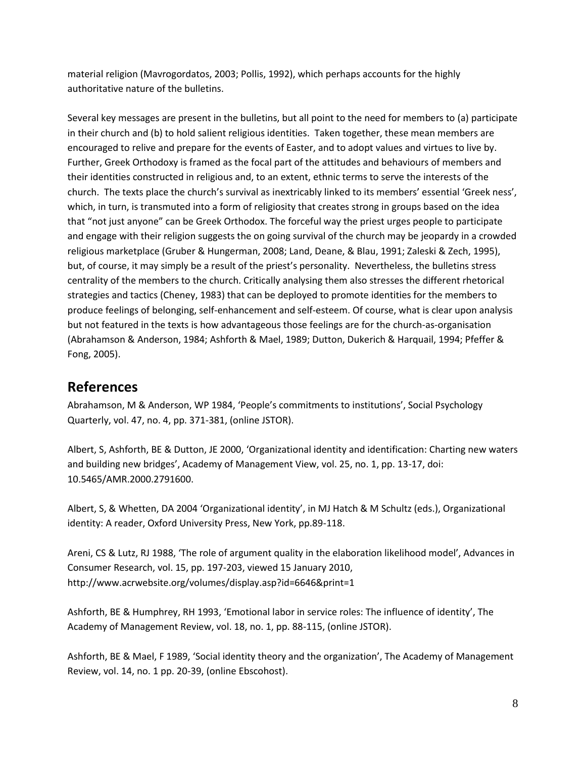material religion (Mavrogordatos, 2003; Pollis, 1992), which perhaps accounts for the highly authoritative nature of the bulletins.

Several key messages are present in the bulletins, but all point to the need for members to (a) participate in their church and (b) to hold salient religious identities. Taken together, these mean members are encouraged to relive and prepare for the events of Easter, and to adopt values and virtues to live by. Further, Greek Orthodoxy is framed as the focal part of the attitudes and behaviours of members and their identities constructed in religious and, to an extent, ethnic terms to serve the interests of the church. The texts place the church's survival as inextricably linked to its members' essential 'Greek ness', which, in turn, is transmuted into a form of religiosity that creates strong in groups based on the idea that "not just anyone" can be Greek Orthodox. The forceful way the priest urges people to participate and engage with their religion suggests the on going survival of the church may be jeopardy in a crowded religious marketplace (Gruber & Hungerman, 2008; Land, Deane, & Blau, 1991; Zaleski & Zech, 1995), but, of course, it may simply be a result of the priest's personality. Nevertheless, the bulletins stress centrality of the members to the church. Critically analysing them also stresses the different rhetorical strategies and tactics (Cheney, 1983) that can be deployed to promote identities for the members to produce feelings of belonging, self-enhancement and self-esteem. Of course, what is clear upon analysis but not featured in the texts is how advantageous those feelings are for the church-as-organisation (Abrahamson & Anderson, 1984; Ashforth & Mael, 1989; Dutton, Dukerich & Harquail, 1994; Pfeffer & Fong, 2005).

## **References**

Abrahamson, M & Anderson, WP 1984, 'People's commitments to institutions', Social Psychology Quarterly, vol. 47, no. 4, pp. 371-381, (online JSTOR).

Albert, S, Ashforth, BE & Dutton, JE 2000, 'Organizational identity and identification: Charting new waters and building new bridges', Academy of Management View, vol. 25, no. 1, pp. 13-17, doi: 10.5465/AMR.2000.2791600.

Albert, S, & Whetten, DA 2004 'Organizational identity', in MJ Hatch & M Schultz (eds.), Organizational identity: A reader, Oxford University Press, New York, pp.89-118.

Areni, CS & Lutz, RJ 1988, 'The role of argument quality in the elaboration likelihood model', Advances in Consumer Research, vol. 15, pp. 197-203, viewed 15 January 2010, http://www.acrwebsite.org/volumes/display.asp?id=6646&print=1

Ashforth, BE & Humphrey, RH 1993, 'Emotional labor in service roles: The influence of identity', The Academy of Management Review, vol. 18, no. 1, pp. 88-115, (online JSTOR).

Ashforth, BE & Mael, F 1989, 'Social identity theory and the organization', The Academy of Management Review, vol. 14, no. 1 pp. 20-39, (online Ebscohost).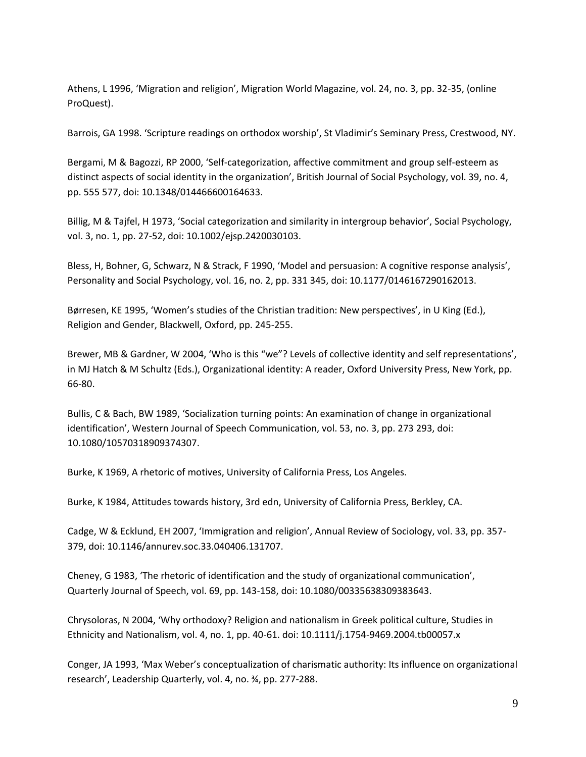Athens, L 1996, 'Migration and religion', Migration World Magazine, vol. 24, no. 3, pp. 32-35, (online ProQuest).

Barrois, GA 1998. 'Scripture readings on orthodox worship', St Vladimir's Seminary Press, Crestwood, NY.

Bergami, M & Bagozzi, RP 2000, 'Self-categorization, affective commitment and group self-esteem as distinct aspects of social identity in the organization', British Journal of Social Psychology, vol. 39, no. 4, pp. 555 577, doi: 10.1348/014466600164633.

Billig, M & Tajfel, H 1973, 'Social categorization and similarity in intergroup behavior', Social Psychology, vol. 3, no. 1, pp. 27-52, doi: 10.1002/ejsp.2420030103.

Bless, H, Bohner, G, Schwarz, N & Strack, F 1990, 'Model and persuasion: A cognitive response analysis', Personality and Social Psychology, vol. 16, no. 2, pp. 331 345, doi: 10.1177/0146167290162013.

Børresen, KE 1995, 'Women's studies of the Christian tradition: New perspectives', in U King (Ed.), Religion and Gender, Blackwell, Oxford, pp. 245-255.

Brewer, MB & Gardner, W 2004, 'Who is this "we"? Levels of collective identity and self representations', in MJ Hatch & M Schultz (Eds.), Organizational identity: A reader, Oxford University Press, New York, pp. 66-80.

Bullis, C & Bach, BW 1989, 'Socialization turning points: An examination of change in organizational identification', Western Journal of Speech Communication, vol. 53, no. 3, pp. 273 293, doi: 10.1080/10570318909374307.

Burke, K 1969, A rhetoric of motives, University of California Press, Los Angeles.

Burke, K 1984, Attitudes towards history, 3rd edn, University of California Press, Berkley, CA.

Cadge, W & Ecklund, EH 2007, 'Immigration and religion', Annual Review of Sociology, vol. 33, pp. 357- 379, doi: 10.1146/annurev.soc.33.040406.131707.

Cheney, G 1983, 'The rhetoric of identification and the study of organizational communication', Quarterly Journal of Speech, vol. 69, pp. 143-158, doi: 10.1080/00335638309383643.

Chrysoloras, N 2004, 'Why orthodoxy? Religion and nationalism in Greek political culture, Studies in Ethnicity and Nationalism, vol. 4, no. 1, pp. 40-61. doi: 10.1111/j.1754-9469.2004.tb00057.x

Conger, JA 1993, 'Max Weber's conceptualization of charismatic authority: Its influence on organizational research', Leadership Quarterly, vol. 4, no. ¾, pp. 277-288.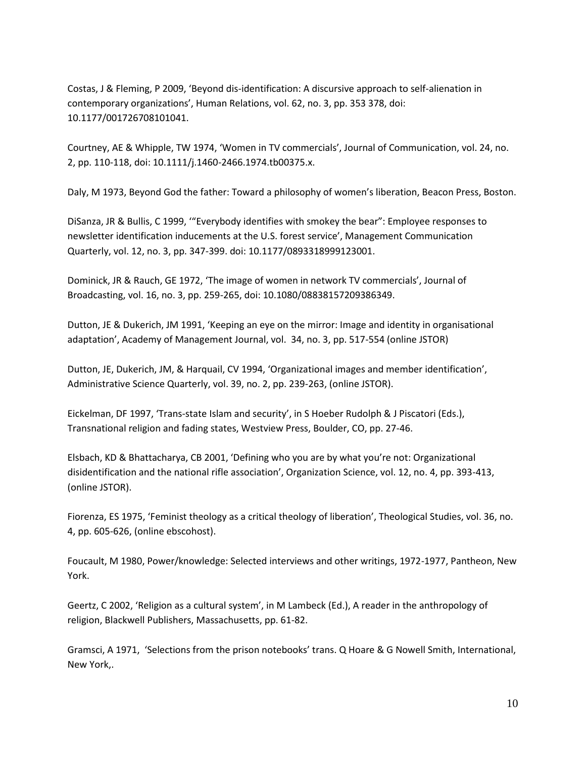Costas, J & Fleming, P 2009, 'Beyond dis-identification: A discursive approach to self-alienation in contemporary organizations', Human Relations, vol. 62, no. 3, pp. 353 378, doi: 10.1177/001726708101041.

Courtney, AE & Whipple, TW 1974, 'Women in TV commercials', Journal of Communication, vol. 24, no. 2, pp. 110-118, doi: 10.1111/j.1460-2466.1974.tb00375.x.

Daly, M 1973, Beyond God the father: Toward a philosophy of women's liberation, Beacon Press, Boston.

DiSanza, JR & Bullis, C 1999, '"Everybody identifies with smokey the bear": Employee responses to newsletter identification inducements at the U.S. forest service', Management Communication Quarterly, vol. 12, no. 3, pp. 347-399. doi: 10.1177/0893318999123001.

Dominick, JR & Rauch, GE 1972, 'The image of women in network TV commercials', Journal of Broadcasting, vol. 16, no. 3, pp. 259-265, doi: 10.1080/08838157209386349.

Dutton, JE & Dukerich, JM 1991, 'Keeping an eye on the mirror: Image and identity in organisational adaptation', Academy of Management Journal, vol. 34, no. 3, pp. 517-554 (online JSTOR)

Dutton, JE, Dukerich, JM, & Harquail, CV 1994, 'Organizational images and member identification', Administrative Science Quarterly, vol. 39, no. 2, pp. 239-263, (online JSTOR).

Eickelman, DF 1997, 'Trans-state Islam and security', in S Hoeber Rudolph & J Piscatori (Eds.), Transnational religion and fading states, Westview Press, Boulder, CO, pp. 27-46.

Elsbach, KD & Bhattacharya, CB 2001, 'Defining who you are by what you're not: Organizational disidentification and the national rifle association', Organization Science, vol. 12, no. 4, pp. 393-413, (online JSTOR).

Fiorenza, ES 1975, 'Feminist theology as a critical theology of liberation', Theological Studies, vol. 36, no. 4, pp. 605-626, (online ebscohost).

Foucault, M 1980, Power/knowledge: Selected interviews and other writings, 1972-1977, Pantheon, New York.

Geertz, C 2002, 'Religion as a cultural system', in M Lambeck (Ed.), A reader in the anthropology of religion, Blackwell Publishers, Massachusetts, pp. 61-82.

Gramsci, A 1971, 'Selections from the prison notebooks' trans. Q Hoare & G Nowell Smith, International, New York,.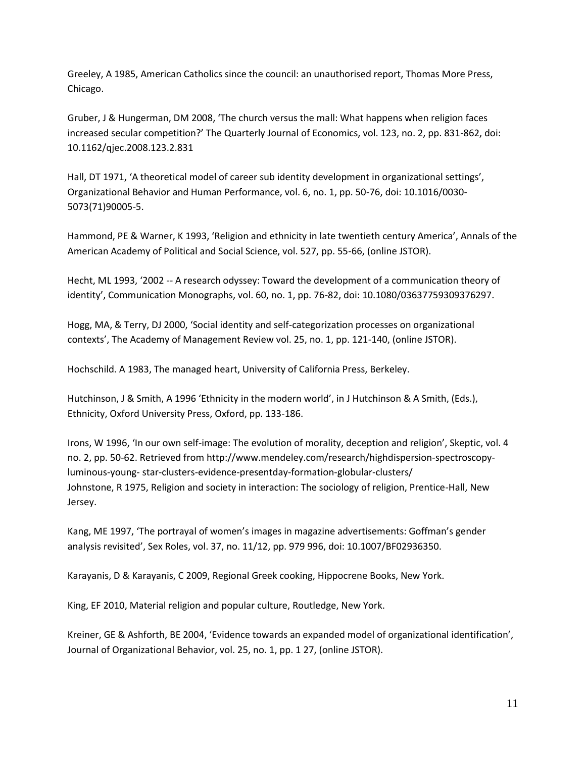Greeley, A 1985, American Catholics since the council: an unauthorised report, Thomas More Press, Chicago.

Gruber, J & Hungerman, DM 2008, 'The church versus the mall: What happens when religion faces increased secular competition?' The Quarterly Journal of Economics, vol. 123, no. 2, pp. 831-862, doi: 10.1162/qjec.2008.123.2.831

Hall, DT 1971, 'A theoretical model of career sub identity development in organizational settings', Organizational Behavior and Human Performance, vol. 6, no. 1, pp. 50-76, doi: 10.1016/0030- 5073(71)90005-5.

Hammond, PE & Warner, K 1993, 'Religion and ethnicity in late twentieth century America', Annals of the American Academy of Political and Social Science, vol. 527, pp. 55-66, (online JSTOR).

Hecht, ML 1993, '2002 -- A research odyssey: Toward the development of a communication theory of identity', Communication Monographs, vol. 60, no. 1, pp. 76-82, doi: 10.1080/03637759309376297.

Hogg, MA, & Terry, DJ 2000, 'Social identity and self-categorization processes on organizational contexts', The Academy of Management Review vol. 25, no. 1, pp. 121-140, (online JSTOR).

Hochschild. A 1983, The managed heart, University of California Press, Berkeley.

Hutchinson, J & Smith, A 1996 'Ethnicity in the modern world', in J Hutchinson & A Smith, (Eds.), Ethnicity, Oxford University Press, Oxford, pp. 133-186.

Irons, W 1996, 'In our own self-image: The evolution of morality, deception and religion', Skeptic, vol. 4 no. 2, pp. 50-62. Retrieved from http://www.mendeley.com/research/highdispersion-spectroscopyluminous-young- star-clusters-evidence-presentday-formation-globular-clusters/ Johnstone, R 1975, Religion and society in interaction: The sociology of religion, Prentice-Hall, New Jersey.

Kang, ME 1997, 'The portrayal of women's images in magazine advertisements: Goffman's gender analysis revisited', Sex Roles, vol. 37, no. 11/12, pp. 979 996, doi: 10.1007/BF02936350.

Karayanis, D & Karayanis, C 2009, Regional Greek cooking, Hippocrene Books, New York.

King, EF 2010, Material religion and popular culture, Routledge, New York.

Kreiner, GE & Ashforth, BE 2004, 'Evidence towards an expanded model of organizational identification', Journal of Organizational Behavior, vol. 25, no. 1, pp. 1 27, (online JSTOR).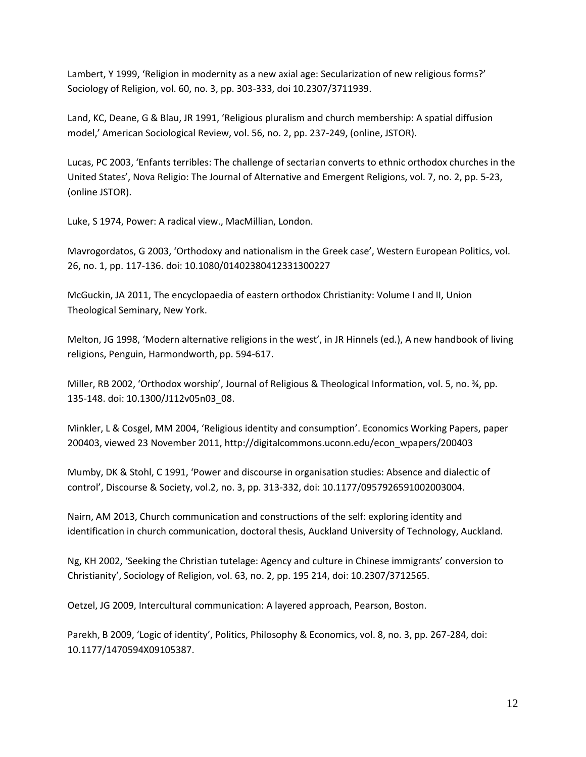Lambert, Y 1999, 'Religion in modernity as a new axial age: Secularization of new religious forms?' Sociology of Religion, vol. 60, no. 3, pp. 303-333, doi 10.2307/3711939.

Land, KC, Deane, G & Blau, JR 1991, 'Religious pluralism and church membership: A spatial diffusion model,' American Sociological Review, vol. 56, no. 2, pp. 237-249, (online, JSTOR).

Lucas, PC 2003, 'Enfants terribles: The challenge of sectarian converts to ethnic orthodox churches in the United States', Nova Religio: The Journal of Alternative and Emergent Religions, vol. 7, no. 2, pp. 5-23, (online JSTOR).

Luke, S 1974, Power: A radical view., MacMillian, London.

Mavrogordatos, G 2003, 'Orthodoxy and nationalism in the Greek case', Western European Politics, vol. 26, no. 1, pp. 117-136. doi: 10.1080/01402380412331300227

McGuckin, JA 2011, The encyclopaedia of eastern orthodox Christianity: Volume I and II, Union Theological Seminary, New York.

Melton, JG 1998, 'Modern alternative religions in the west', in JR Hinnels (ed.), A new handbook of living religions, Penguin, Harmondworth, pp. 594-617.

Miller, RB 2002, 'Orthodox worship', Journal of Religious & Theological Information, vol. 5, no. ¾, pp. 135-148. doi: 10.1300/J112v05n03\_08.

Minkler, L & Cosgel, MM 2004, 'Religious identity and consumption'. Economics Working Papers, paper 200403, viewed 23 November 2011, http://digitalcommons.uconn.edu/econ\_wpapers/200403

Mumby, DK & Stohl, C 1991, 'Power and discourse in organisation studies: Absence and dialectic of control', Discourse & Society, vol.2, no. 3, pp. 313-332, doi: 10.1177/0957926591002003004.

Nairn, AM 2013, Church communication and constructions of the self: exploring identity and identification in church communication, doctoral thesis, Auckland University of Technology, Auckland.

Ng, KH 2002, 'Seeking the Christian tutelage: Agency and culture in Chinese immigrants' conversion to Christianity', Sociology of Religion, vol. 63, no. 2, pp. 195 214, doi: 10.2307/3712565.

Oetzel, JG 2009, Intercultural communication: A layered approach, Pearson, Boston.

Parekh, B 2009, 'Logic of identity', Politics, Philosophy & Economics, vol. 8, no. 3, pp. 267-284, doi: 10.1177/1470594X09105387.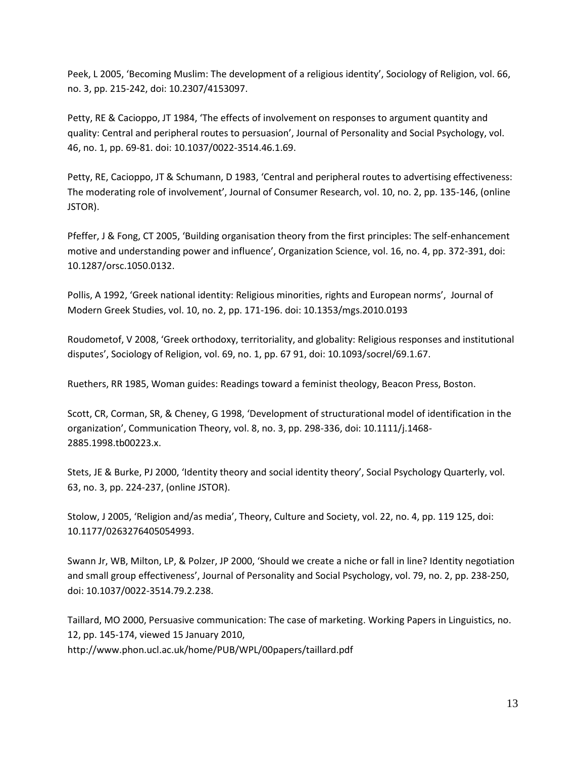Peek, L 2005, 'Becoming Muslim: The development of a religious identity', Sociology of Religion, vol. 66, no. 3, pp. 215-242, doi: 10.2307/4153097.

Petty, RE & Cacioppo, JT 1984, 'The effects of involvement on responses to argument quantity and quality: Central and peripheral routes to persuasion', Journal of Personality and Social Psychology, vol. 46, no. 1, pp. 69-81. doi: 10.1037/0022-3514.46.1.69.

Petty, RE, Cacioppo, JT & Schumann, D 1983, 'Central and peripheral routes to advertising effectiveness: The moderating role of involvement', Journal of Consumer Research, vol. 10, no. 2, pp. 135-146, (online JSTOR).

Pfeffer, J & Fong, CT 2005, 'Building organisation theory from the first principles: The self-enhancement motive and understanding power and influence', Organization Science, vol. 16, no. 4, pp. 372-391, doi: 10.1287/orsc.1050.0132.

Pollis, A 1992, 'Greek national identity: Religious minorities, rights and European norms', Journal of Modern Greek Studies, vol. 10, no. 2, pp. 171-196. doi: 10.1353/mgs.2010.0193

Roudometof, V 2008, 'Greek orthodoxy, territoriality, and globality: Religious responses and institutional disputes', Sociology of Religion, vol. 69, no. 1, pp. 67 91, doi: 10.1093/socrel/69.1.67.

Ruethers, RR 1985, Woman guides: Readings toward a feminist theology, Beacon Press, Boston.

Scott, CR, Corman, SR, & Cheney, G 1998, 'Development of structurational model of identification in the organization', Communication Theory, vol. 8, no. 3, pp. 298-336, doi: 10.1111/j.1468- 2885.1998.tb00223.x.

Stets, JE & Burke, PJ 2000, 'Identity theory and social identity theory', Social Psychology Quarterly, vol. 63, no. 3, pp. 224-237, (online JSTOR).

Stolow, J 2005, 'Religion and/as media', Theory, Culture and Society, vol. 22, no. 4, pp. 119 125, doi: 10.1177/0263276405054993.

Swann Jr, WB, Milton, LP, & Polzer, JP 2000, 'Should we create a niche or fall in line? Identity negotiation and small group effectiveness', Journal of Personality and Social Psychology, vol. 79, no. 2, pp. 238-250, doi: 10.1037/0022-3514.79.2.238.

Taillard, MO 2000, Persuasive communication: The case of marketing. Working Papers in Linguistics, no. 12, pp. 145-174, viewed 15 January 2010, http://www.phon.ucl.ac.uk/home/PUB/WPL/00papers/taillard.pdf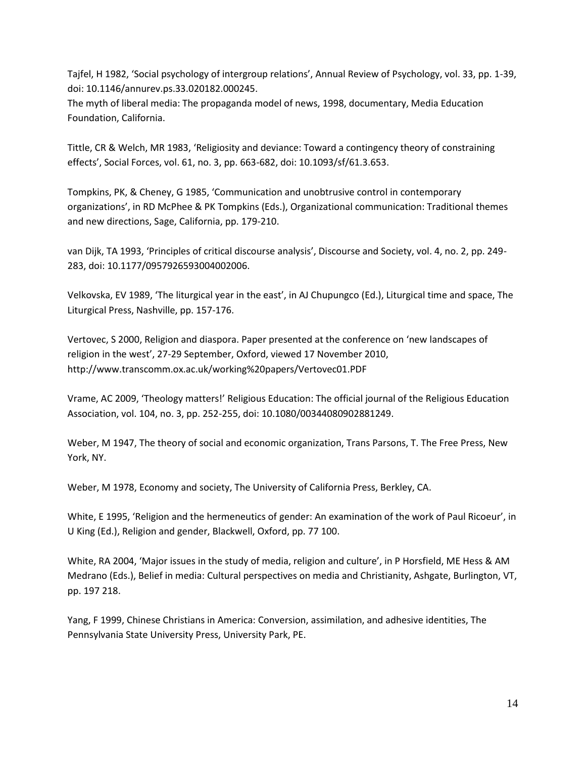Tajfel, H 1982, 'Social psychology of intergroup relations', Annual Review of Psychology, vol. 33, pp. 1-39, doi: 10.1146/annurev.ps.33.020182.000245.

The myth of liberal media: The propaganda model of news, 1998, documentary, Media Education Foundation, California.

Tittle, CR & Welch, MR 1983, 'Religiosity and deviance: Toward a contingency theory of constraining effects', Social Forces, vol. 61, no. 3, pp. 663-682, doi: 10.1093/sf/61.3.653.

Tompkins, PK, & Cheney, G 1985, 'Communication and unobtrusive control in contemporary organizations', in RD McPhee & PK Tompkins (Eds.), Organizational communication: Traditional themes and new directions, Sage, California, pp. 179-210.

van Dijk, TA 1993, 'Principles of critical discourse analysis', Discourse and Society, vol. 4, no. 2, pp. 249- 283, doi: 10.1177/0957926593004002006.

Velkovska, EV 1989, 'The liturgical year in the east', in AJ Chupungco (Ed.), Liturgical time and space, The Liturgical Press, Nashville, pp. 157-176.

Vertovec, S 2000, Religion and diaspora. Paper presented at the conference on 'new landscapes of religion in the west', 27-29 September, Oxford, viewed 17 November 2010, http://www.transcomm.ox.ac.uk/working%20papers/Vertovec01.PDF

Vrame, AC 2009, 'Theology matters!' Religious Education: The official journal of the Religious Education Association, vol. 104, no. 3, pp. 252-255, doi: 10.1080/00344080902881249.

Weber, M 1947, The theory of social and economic organization, Trans Parsons, T. The Free Press, New York, NY.

Weber, M 1978, Economy and society, The University of California Press, Berkley, CA.

White, E 1995, 'Religion and the hermeneutics of gender: An examination of the work of Paul Ricoeur', in U King (Ed.), Religion and gender, Blackwell, Oxford, pp. 77 100.

White, RA 2004, 'Major issues in the study of media, religion and culture', in P Horsfield, ME Hess & AM Medrano (Eds.), Belief in media: Cultural perspectives on media and Christianity, Ashgate, Burlington, VT, pp. 197 218.

Yang, F 1999, Chinese Christians in America: Conversion, assimilation, and adhesive identities, The Pennsylvania State University Press, University Park, PE.